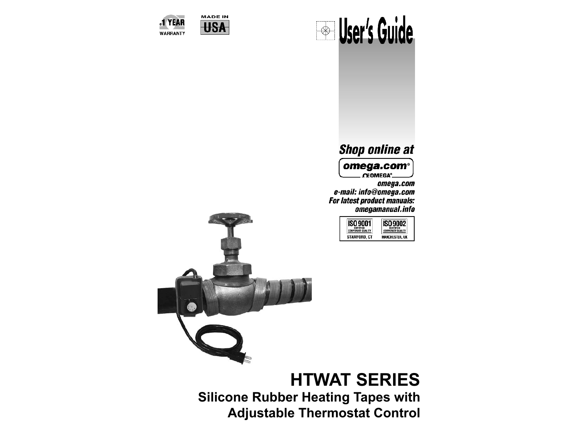



#### .1 YEAR **WARRANTY**

# **Shop online at**

omega.com<sup>®</sup> . CEOMEGA<sup>\*</sup>

omega.com e-mail: info@omega.com For latest product manuals: omegamanual.info

| CERTIFIED             | CERTIFIED              |
|-----------------------|------------------------|
| <b>JAPORATE OLIAL</b> | <b>RPORATE QUALITY</b> |
| ord. Ct               | HESTER. UK             |



**HTWAT SERIES Silicone Rubber Heating Tapes with Adjustable Thermostat Control**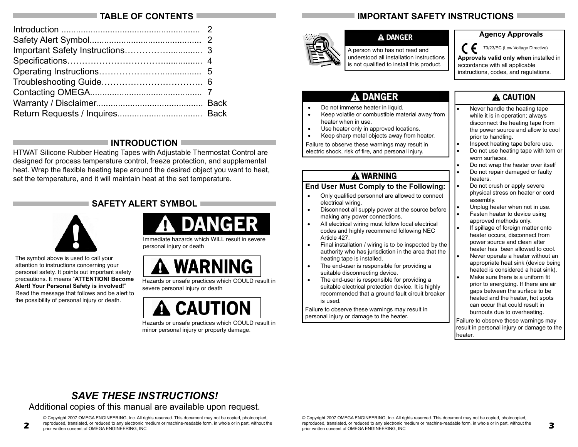## **TABLE OF CONTENTS**

# **INTRODUCTION**

HTWAT Silicone Rubber Heating Tapes with Adjustable Thermostat Control are designed for process temperature control, freeze protection, and supplemental heat. Wrap the flexible heating tape around the desired object you want to heat, set the temperature, and it will maintain heat at the set temperature.

## **SAFETY ALERT SYMBOL**



The symbol above is used to call your attention to instructions concerning your personal safety. It points out important safety precautions. It means "**ATTENTION! Become Alert! Your Personal Safety is involved!**" Read the message that follows and be alert to the possibility of personal injury or death.



Immediate hazards which WILL result in severe personal injury or death



Hazards or unsafe practices which COULD result in severe personal injury or death



Hazards or unsafe practices which COULD result in minor personal injury or property damage.

# **IMPORTANT SAFETY INSTRUCTIONS**



#### **A DANGER**

A person who has not read and understood all installation instructions is not qualified to install this product.

#### **Agency Approvals**

( F 73/23/EC (Low Voltage Directive)

**Approvals valid only when** installed in accordance with all applicable instructions, codes, and regulations.

# **A DANGER**

- Do not immerse heater in liquid.
- Keep volatile or combustible material away from heater when in use.
- Use heater only in approved locations.
- Keep sharp metal objects away from heater.

Failure to observe these warnings may result in electric shock, risk of fire, and personal injury.

## **A WARNING**

#### **End User Must Comply to the Following:**

- Only qualified personnel are allowed to connect electrical wiring.
- Disconnect all supply power at the source before making any power connections.
- All electrical wiring must follow local electrical codes and highly recommend following NEC Article 427.
- Final installation / wiring is to be inspected by the authority who has jurisdiction in the area that the heating tape is installed.
- The end-user is responsible for providing a suitable disconnecting device.
- The end-user is responsible for providing a suitable electrical protection device. It is highly recommended that a ground fault circuit breaker is used.

Failure to observe these warnings may result in personal injury or damage to the heater.

# A CAUTION

- Never handle the heating tape while it is in operation; always disconnect the heating tape from the power source and allow to cool prior to handling.
- Inspect heating tape before use.
- Do not use heating tape with torn or worn surfaces.
- Do not wrap the heater over itself • Do not repair damaged or faulty heaters.
- Do not crush or apply severe physical stress on heater or cord assembly.
- Unplug heater when not in use.
- Fasten heater to device using approved methods only.
- If spillage of foreign matter onto heater occurs, disconnect from power source and clean after heater has been allowed to cool.
- Never operate a heater without an appropriate heat sink (device being heated is considered a heat sink).
- Make sure there is a uniform fit prior to energizing. If there are air gaps between the surface to be heated and the heater, hot spots can occur that could result in burnouts due to overheating.

 Failure to observe these warnings may result in personal injury or damage to the heater.

**3**

# *SAVE THESE INSTRUCTIONS!*

Additional copies of this manual are available upon request.

© Copyright 2007 OMEGA ENGINEERING, Inc. All rights reserved. This document may not be copied, photocopied, reproduced, translated, or reduced to any electronic medium or machine-readable form, in whole or in part, without the prior written consent of OMEGA ENGINEERING, INC

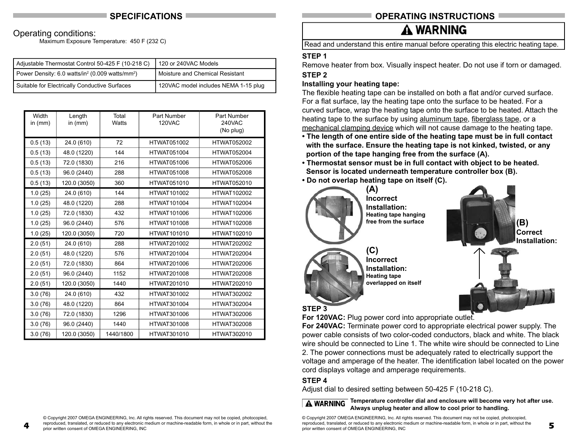## **SPECIFICATIONS**

### Operating conditions:

**4**

Maximum Exposure Temperature: 450 F (232 C)

| Adjustable Thermostat Control 50-425 F (10-218 C)                       | 120 or 240VAC Models                 |
|-------------------------------------------------------------------------|--------------------------------------|
| Power Density: 6.0 watts/in <sup>2</sup> (0.009 watts/mm <sup>2</sup> ) | Moisture and Chemical Resistant      |
| Suitable for Electrically Conductive Surfaces                           | 120VAC model includes NEMA 1-15 plug |

| Width<br>in $(mm)$ | Length<br>in $(mm)$ | Total<br>Watts | Part Number<br><b>120VAC</b> | Part Number<br>240VAC<br>(No plug) |
|--------------------|---------------------|----------------|------------------------------|------------------------------------|
| 0.5(13)            | 24.0 (610)          | 72             | <b>HTWAT051002</b>           | <b>HTWAT052002</b>                 |
| 0.5(13)            | 48.0 (1220)         | 144            | <b>HTWAT051004</b>           | <b>HTWAT052004</b>                 |
| 0.5(13)            | 72.0 (1830)         | 216            | <b>HTWAT051006</b>           | HTWAT052006                        |
| 0.5(13)            | 96.0 (2440)         | 288            | <b>HTWAT051008</b>           | <b>HTWAT052008</b>                 |
| 0.5(13)            | 120.0 (3050)        | 360            | <b>HTWAT051010</b>           | <b>HTWAT052010</b>                 |
| 1.0(25)            | 24.0 (610)          | 144            | <b>HTWAT101002</b>           | <b>HTWAT102002</b>                 |
| 1.0(25)            | 48.0 (1220)         | 288            | <b>HTWAT101004</b>           | <b>HTWAT102004</b>                 |
| 1.0(25)            | 72.0 (1830)         | 432            | HTWAT101006                  | <b>HTWAT102006</b>                 |
| 1.0(25)            | 96.0 (2440)         | 576            | HTWAT101008                  | <b>HTWAT102008</b>                 |
| 1.0(25)            | 120.0 (3050)        | 720            | HTWAT101010                  | <b>HTWAT102010</b>                 |
| 2.0(51)            | 24.0 (610)          | 288            | <b>HTWAT201002</b>           | <b>HTWAT202002</b>                 |
| 2.0(51)            | 48.0 (1220)         | 576            | <b>HTWAT201004</b>           | <b>HTWAT202004</b>                 |
| 2.0(51)            | 72.0 (1830)         | 864            | HTWAT201006                  | HTWAT202006                        |
| 2.0(51)            | 96.0 (2440)         | 1152           | <b>HTWAT201008</b>           | <b>HTWAT202008</b>                 |
| 2.0(51)            | 120.0 (3050)        | 1440           | <b>HTWAT201010</b>           | <b>HTWAT202010</b>                 |
| 3.0(76)            | 24.0 (610)          | 432            | <b>HTWAT301002</b>           | <b>HTWAT302002</b>                 |
| 3.0(76)            | 48.0 (1220)         | 864            | <b>HTWAT301004</b>           | <b>HTWAT302004</b>                 |
| 3.0(76)            | 72.0 (1830)         | 1296           | HTWAT301006                  | <b>HTWAT302006</b>                 |
| 3.0(76)            | 96.0 (2440)         | 1440           | <b>HTWAT301008</b>           | <b>HTWAT302008</b>                 |
| 3.0(76)            | 120.0 (3050)        | 1440/1800      | HTWAT301010                  | <b>HTWAT302010</b>                 |

## **OPERATING INSTRUCTIONS**

# A WARNING

Read and understand this entire manual before operating this electric heating tape.

#### **STEP 1**

Remove heater from box. Visually inspect heater. Do not use if torn or damaged. **STEP 2**

#### **Installing your heating tape:**

The flexible heating tape can be installed on both a flat and/or curved surface. For a flat surface, lay the heating tape onto the surface to be heated. For a curved surface, wrap the heating tape onto the surface to be heated. Attach the heating tape to the surface by using aluminum tape, fiberglass tape, or a mechanical clamping device which will not cause damage to the heating tape.

- **The length of one entire side of the heating tape must be in full contact with the surface. Ensure the heating tape is not kinked, twisted, or any portion of the tape hanging free from the surface (A).**
- **Thermostat sensor must be in full contact with object to be heated. Sensor is located underneath temperature controller box (B).**
- **Do not overlap heating tape on itself (C).**



For 120VAC: Plug power cord into appropriate outlet.

**For 240VAC:** Terminate power cord to appropriate electrical power supply. The power cable consists of two color-coded conductors, black and white. The black wire should be connected to Line 1. The white wire should be connected to Line 2. The power connections must be adequately rated to electrically support the voltage and amperage of the heater. The identification label located on the power cord displays voltage and amperage requirements.

### **STEP 4**

Adjust dial to desired setting between 50-425 F (10-218 C).

**A WARNING** Temperature controller dial and enclosure will become very hot after use. **Always unplug heater and allow to cool prior to handling.** 

© Copyright 2007 OMEGA ENGINEERING, Inc. All rights reserved. This document may not be copied, photocopied, reproduced, translated, or reduced to any electronic medium or machine-readable form, in whole or in part, without the prior written consent of OMEGA ENGINEERING, INC

© Copyright 2007 OMEGA ENGINEERING, Inc. All rights reserved. This document may not be copied, photocopied, reproduced, translated, or reduced to any electronic medium or machine-readable form, in whole or in part, without the prior written consent of OMEGA ENGINEERING, INC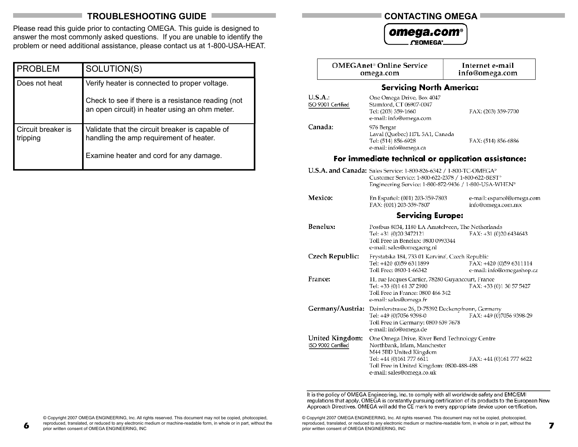# **TROUBLESHOOTING GUIDE**

Please read this guide prior to contacting OMEGA. This guide is designed to answer the most commonly asked questions. If you are unable to identify the problem or need additional assistance, please contact us at 1-800-USA-HEAT.

| <b>PROBLEM</b>                 | SOLUTION(S)                                                                                                                                           |
|--------------------------------|-------------------------------------------------------------------------------------------------------------------------------------------------------|
| Does not heat                  | Verify heater is connected to proper voltage.<br>Check to see if there is a resistance reading (not<br>an open circuit) in heater using an ohm meter. |
| Circuit breaker is<br>tripping | Validate that the circuit breaker is capable of<br>handling the amp requirement of heater.<br>Examine heater and cord for any damage.                 |

#### **CONTACTING OMEGA**

omega.com<sup>®</sup> **CEOMEGA**<sup>°</sup>

|                                       | <b>OMEGAnet<sup>®</sup> Online Service</b><br>omega.com                                                                                                                                                               | Internet e-mail<br>info@omega.com                    |
|---------------------------------------|-----------------------------------------------------------------------------------------------------------------------------------------------------------------------------------------------------------------------|------------------------------------------------------|
|                                       | <b>Servicing North America:</b>                                                                                                                                                                                       |                                                      |
| U.S.A.:<br>ISO 9001 Certified         | One Omega Drive, Box 4047<br>Stamford, CT 06907-0047<br>Tel: (203) 359-1660<br>e-mail: info@omega.com                                                                                                                 | FAX: (203) 359-7700                                  |
| Canada:                               | 976 Bergar<br>Laval (Quebec) H7L 5A1, Canada<br>Tel: (514) 856-6928<br>e-mail: info@omega.ca                                                                                                                          | FAX: (514) 856-6886                                  |
|                                       |                                                                                                                                                                                                                       | For immediate technical or application assistance:   |
|                                       | U.S.A. and Canada: Sales Service: 1-800-826-6342 / 1-800-TC-OMEGA <sup>®</sup><br>Customer Service: 1-800-622-2378 / 1-800-622-BEST <sup>®</sup><br>Engineering Service: 1-800-872-9436 / 1-800-USA-WHEN <sup>®</sup> |                                                      |
| Mexico:                               | En Español: (001) 203-359-7803<br>FAX: (001) 203-359-7807                                                                                                                                                             | e-mail: espanol@omega.com<br>info@omega.com.mx       |
|                                       | <b>Servicing Europe:</b>                                                                                                                                                                                              |                                                      |
| Benelux:                              | Postbus 8034, 1180 LA Amstelveen, The Netherlands<br>Tel: +31 (0)20 3472121<br>Toll Free in Benelux: 0800 0993344<br>e-mail: sales@omegaeng.nl                                                                        | FAX: +31 (0)20 6434643                               |
| Czech Republic:                       | Frystatska 184, 733 01 Karvina, Czech Republic<br>Tel: +420 (0)59 6311899<br>Toll Free: 0800-1-66342                                                                                                                  | FAX: +420 (0)59 6311114<br>e-mail: info@omegashop.cz |
| France:                               | 11, rue Jacques Cartier, 78280 Guyancourt, France<br>Tel: +33 (0)1 61 37 2900<br>Toll Free in France: 0800 466 342<br>e-mail: sales@omega.fr                                                                          | FAX: +33 (0)1 30 57 5427                             |
| Germany/Austria:                      | Daimlerstrasse 26, D-75392 Deckenpfronn, Germany<br>Tel: +49 (0)7056 9398-0<br>Toll Free in Germany: 0800 639 7678<br>e-mail: info@omega.de                                                                           | FAX: +49 (0)7056 9398-29                             |
| United Kingdom:<br>ISO 9002 Certified | One Omega Drive, River Bend Technology Centre<br>Northbank, Irlam, Manchester<br>M44 5BD United Kingdom<br>Tel: +44 (0)161 777 6611<br>Toll Free in United Kingdom: 0800-488-488<br>e-mail: sales@omega.co.uk         | FAX: +44 (0)161 777 6622                             |

It is the policy of OMEGA Engineering, Inc. to comply with all worldwide safety and EMC/EMI regulations that apply. OMEGA is constantly pursuing certification of its products to the European New Approach Directives. OMEGA will add the CE mark to every appropriate device upon certification.

© Copyright 2007 OMEGA ENGINEERING, Inc. All rights reserved. This document may not be copied, photocopied, reproduced, translated, or reduced to any electronic medium or machine-readable form, in whole or in part, without the prior written consent of OMEGA ENGINEERING, INC prior written consent of OMEGA ENGINEERING, INC

**6**

© Copyright 2007 OMEGA ENGINEERING, Inc. All rights reserved. This document may not be copied, photocopied, reproduced, translated, or reduced to any electronic medium or machine-readable form, in whole or in part, without the prior written consent of OMEGA ENGINEERING, INC